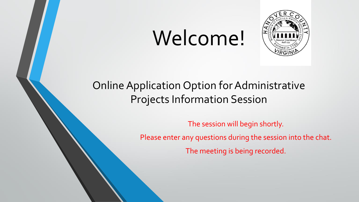# Welcome!



### Online Application Option for Administrative Projects Information Session

The session will begin shortly. Please enter any questions during the session into the chat. The meeting is being recorded.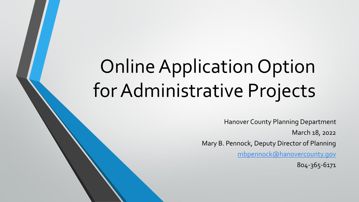# Online Application Option for Administrative Projects

Hanover County Planning Department March 18, 2022 Mary B. Pennock, Deputy Director of Planning [mbpennock@hanovercounty.gov](mailto:mbpennock@hanovercounty.gov) 804-365-6171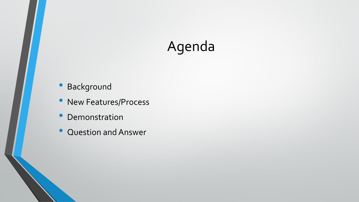# Agenda

- Background
- New Features/Process
- Demonstration
- Question and Answer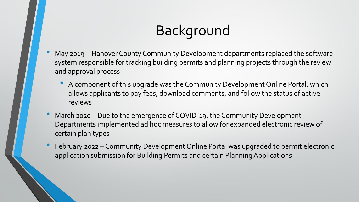# Background

- May 2019 Hanover County Community Development departments replaced the software system responsible for tracking building permits and planning projects through the review and approval process
	- A component of this upgrade was the Community Development Online Portal, which allows applicants to pay fees, download comments, and follow the status of active reviews
- March 2020 Due to the emergence of COVID-19, the Community Development Departments implemented ad hoc measures to allow for expanded electronic review of certain plan types
- February 2022 Community Development Online Portal was upgraded to permit electronic application submission for Building Permits and certain Planning Applications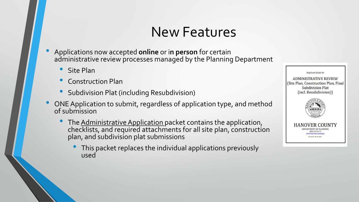- Applications now accepted **online** or i**n person** for certain administrative review processes managed by the Planning Department
	- Site Plan
	- Construction Plan
	- Subdivision Plat (including Resubdivision)
- ONE Application to submit, regardless of application type, and method of submission
	- The Administrative Application packet contains the application, checklists, and required attachments for all site plan, construction plan, and subdivision plat submissions
		- This packet replaces the individual applications previously used

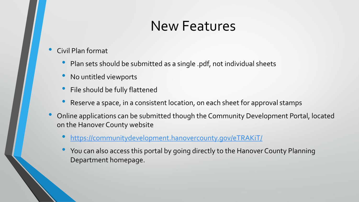- Civil Plan format
	- Plan sets should be submitted as a single .pdf, not individual sheets
	- No untitled viewports
	- File should be fully flattened
	- Reserve a space, in a consistent location, on each sheet for approval stamps
- Online applications can be submitted though the Community Development Portal, located on the Hanover County website
	- <https://communitydevelopment.hanovercounty.gov/eTRAKiT/>
	- You can also access this portal by going directly to the Hanover County Planning Department homepage.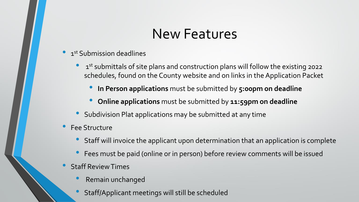- 1st Submission deadlines
	- 1<sup>st</sup> submittals of site plans and construction plans will follow the existing 2022 schedules, found on the County website and on links in the Application Packet
		- **In Person applications** must be submitted by **5:00pm on deadline**
		- **Online applications** must be submitted by **11:59pm on deadline**
	- Subdivision Plat applications may be submitted at any time
- Fee Structure
	- Staff will invoice the applicant upon determination that an application is complete
	- Fees must be paid (online or in person) before review comments will be issued
- Staff Review Times
	- Remain unchanged
	- Staff/Applicant meetings will still be scheduled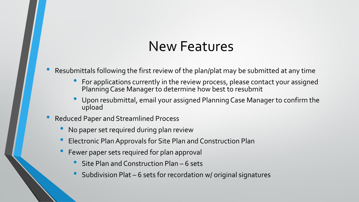- Resubmittals following the first review of the plan/plat may be submitted at any time
	- For applications currently in the review process, please contact your assigned Planning Case Manager to determine how best to resubmit
	- Upon resubmittal, email your assigned Planning Case Manager to confirm the upload
- Reduced Paper and Streamlined Process
	- No paper set required during plan review
	- Electronic Plan Approvals for Site Plan and Construction Plan
	- Fewer paper sets required for plan approval
		- Site Plan and Construction Plan 6 sets
		- Subdivision Plat 6 sets for recordation w/ original signatures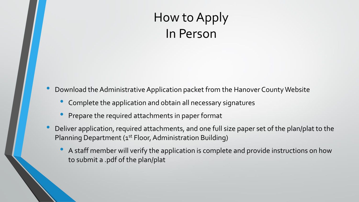### How to Apply In Person

• Download the Administrative Application packet from the Hanover County Website

- Complete the application and obtain all necessary signatures
- Prepare the required attachments in paper format
- Deliver application, required attachments, and one full size paper set of the plan/plat to the Planning Department (1<sup>st</sup> Floor, Administration Building)
	- A staff member will verify the application is complete and provide instructions on how to submit a .pdf of the plan/plat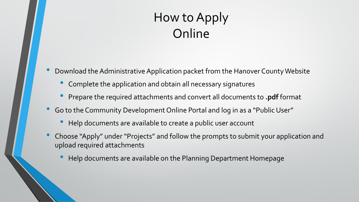### How to Apply **Online**

• Download the Administrative Application packet from the Hanover County Website

- Complete the application and obtain all necessary signatures
- Prepare the required attachments and convert all documents to **.pdf** format
- Go to the Community Development Online Portal and log in as a "Public User"
	- Help documents are available to create a public user account
- Choose "Apply" under "Projects" and follow the prompts to submit your application and upload required attachments
	- Help documents are available on the Planning Department Homepage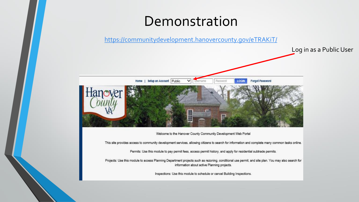### Demonstration

<https://communitydevelopment.hanovercounty.gov/eTRAKiT/>



This site provides access to community development services, allowing citizens to search for information and complete many common tasks online.

Permits: Use this module to pay permit fees, access permit history, and apply for residential subtrade permits.

Projects: Use this module to access Planning Department projects such as rezoning, conditional use permit, and site plan. You may also search for information about active Planning projects.

Inspections: Use this module to schedule or cancel Building Inspections.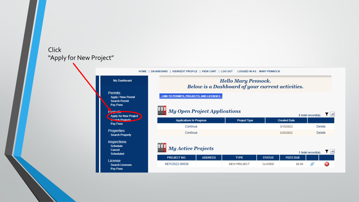### Click "Apply for New Project"

| My Dashboard                                                                               | <b>Hello Mary Pennock.</b><br>Below is a Dashboard of your current activities. |                     |                                  |                                      |  |  |
|--------------------------------------------------------------------------------------------|--------------------------------------------------------------------------------|---------------------|----------------------------------|--------------------------------------|--|--|
| <b>Permits</b><br><b>Apply / New Permit</b><br><b>Search Permit</b><br>Pay Fees<br>Project | LINK TO PERMITS, PROJECTS, AND LICENSES<br>My Open Project Applications        |                     |                                  |                                      |  |  |
| <b>Apply for New Project</b><br><b>Charch Projects</b>                                     |                                                                                |                     |                                  | $\blacksquare$<br>2 total record(s). |  |  |
|                                                                                            | <b>Applications In Progress</b>                                                | <b>Project Type</b> | <b>Created Date</b>              |                                      |  |  |
| Pay Fees                                                                                   |                                                                                |                     |                                  |                                      |  |  |
| <b>Properties</b><br><b>Search Property</b>                                                | Continue<br>Continue                                                           |                     | 3/15/2022<br>2/25/2022           | Delete<br><b>Delete</b>              |  |  |
| <b>Inspections</b><br><b>Schedule</b><br>Cancel<br><b>Scheduled</b>                        | <b>My Active Projects</b>                                                      |                     |                                  | $T =$<br>1 total record(s).          |  |  |
| License                                                                                    | <b>PROJECT NO.</b><br><b>ADDRESS</b>                                           | <b>TYPE</b>         | <b>STATUS</b><br><b>FEES DUE</b> |                                      |  |  |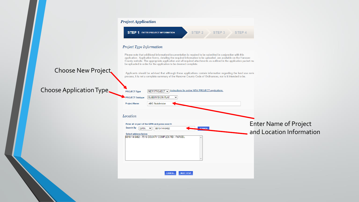|                                 | <b>Project Application</b>                                                                                                                                                                                                                                                                                                                                                                                            |
|---------------------------------|-----------------------------------------------------------------------------------------------------------------------------------------------------------------------------------------------------------------------------------------------------------------------------------------------------------------------------------------------------------------------------------------------------------------------|
|                                 | <b>STEP 1 ENTER PROJECT INFORMATION</b><br>STEP <sub>2</sub><br>STEP <sub>3</sub><br>STEP <sub>4</sub>                                                                                                                                                                                                                                                                                                                |
|                                 | Project Type Information                                                                                                                                                                                                                                                                                                                                                                                              |
|                                 | Please note that additional information/documentation is required to be submitted in conjunction with this<br>application. Application forms, detailing the required information to be uploaded, are available on the Hanover<br>County website. The appropriate application and all required attachments as outlined in the application packet mu<br>be uploaded in order for the application to be deemed complete. |
| Choose New Project              | Applicants should be advised that although these applications contain information regarding the land use revie<br>process, it is not a complete summary of the Hanover County Code of Ordinances, nor is it intended to be.                                                                                                                                                                                           |
| <b>Choose Application Type.</b> | Instructions for online NEW PROJECT applications.<br><b>PROJECT Type</b><br>NEW PROJECT $\sim$<br><b>SUBDIVISION PLAT</b><br><b>PROJECT Subtype</b><br>$\checkmark$<br><b>ABC Subdivision</b><br><b>Project Name</b>                                                                                                                                                                                                  |
|                                 | Location                                                                                                                                                                                                                                                                                                                                                                                                              |
|                                 | <b>Enter Name of Project</b><br>Enter all or part of the GPIN and press search<br>Search By<br><b>SEARCH</b><br><b>GPIN</b><br>8810-14-6482<br>$\checkmark$<br>and Location Information<br>Select address below                                                                                                                                                                                                       |
|                                 | 8810-14-6482 - 7516 COUNTY COMPLEX RD - PARCEL                                                                                                                                                                                                                                                                                                                                                                        |
|                                 | <b>NEXT STEP</b><br><b>CANCEL</b>                                                                                                                                                                                                                                                                                                                                                                                     |
|                                 |                                                                                                                                                                                                                                                                                                                                                                                                                       |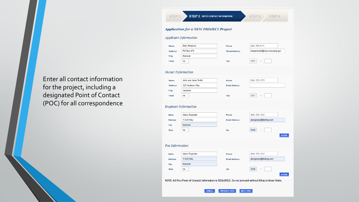Enter all contact information for the project, including a designated Point of Contact (POC) for all correspondence

|                      | Applicant Information |                      |                             |
|----------------------|-----------------------|----------------------|-----------------------------|
| *Name                | <b>Mary Pennock</b>   | Phone                | (804) 365-6171              |
| *Address             | PO Box 470            | *Email Address       | mbpennock@hanovercounty.gov |
| *City                | Hanover               |                      |                             |
| *State               | VA                    | *Zip                 | 2322                        |
|                      | Owner Information     |                      |                             |
|                      |                       |                      |                             |
| *Name                | John and Jane Smith   | Phone                | (804) 555-1313              |
| *Address             | 123 Anytown Way       | <b>Email Address</b> |                             |
| *City                | Anytown               |                      |                             |
| *State               | VA                    | *Zip                 | 2322                        |
|                      | Engineer Information  |                      |                             |
| Name                 | <b>Adam Engineer</b>  | Phone                | (804) 555-1212              |
| <b>Address</b>       | 1 Civil Way           | <b>Email Address</b> | aiengineer@testing.com      |
|                      | Hanover               |                      |                             |
|                      |                       |                      | 2306                        |
| City<br><b>State</b> | VA                    | Zip                  |                             |
|                      |                       |                      |                             |
| Poc Information      |                       |                      |                             |
| <b>Name</b>          | <b>Adam Engineer</b>  | Phone                | (804) 555-1212              |
| <b>Address</b>       | 1 Civil Way           | <b>Email Address</b> | aiengineer@testing.com      |
| City                 | Hanover               |                      |                             |
| <b>State</b>         | VA                    | Zip                  | 2306                        |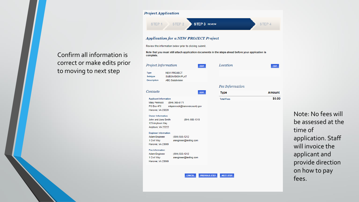### Confirm all information is correct or make edits prior to moving to next step

| <b>Project Application</b>                                                                                                                                                 |                   |               |
|----------------------------------------------------------------------------------------------------------------------------------------------------------------------------|-------------------|---------------|
| <b>STEP 3 REVIEW</b><br>STEP <sub>2</sub><br>STEP <sub>1</sub>                                                                                                             |                   | STEP 4        |
| <b>Application for a NEW PROJECT Project</b><br>Review the information below prior to clicking submit.                                                                     |                   |               |
| Note that you must still attach application documents in the steps ahead before your application is<br>complete.                                                           |                   |               |
| Project Information<br><b>EDIT</b>                                                                                                                                         | Location          | <b>EDIT</b>   |
| <b>Type</b><br><b>NEW PROJECT</b><br><b>Subtype</b><br><b>SUBDIVISION PLAT</b><br><b>Description</b><br><b>ABC Subdivision</b>                                             |                   |               |
|                                                                                                                                                                            | Fee Information   |               |
| Contacts<br><b>EDIT</b>                                                                                                                                                    | <b>Type</b>       | <b>Amount</b> |
| <b>Applicant Information</b><br>(804) 365-6171<br><b>Mary Pennock</b><br><b>PO Box 470</b><br>mbpennock@hanovercounty.gov<br>Hanover, VA 23229<br><b>Owner Information</b> | <b>Total Fees</b> | \$0.00        |
| John and Jane Smith<br>$(804)$ 555-1313<br>123 Anytown Way<br>Anytown, VA 23222                                                                                            |                   |               |
| <b>Engineer Information</b><br><b>Adam Engineer</b><br>(804) 555-1212<br>1 Civil Way<br>aiengineer@testing.com<br>Hanover, VA 23069                                        |                   |               |
| <b>Poc</b> Information<br><b>Adam Engineer</b><br>(804) 555-1212<br>1 Civil Way<br>aiengineer@testing.com<br>Hanover, VA 23069                                             |                   |               |
| <b>CANCEL</b><br><b>PREVIOUS STEP</b>                                                                                                                                      | <b>NEXT STEP</b>  |               |

Note: No fees will be assessed at the time of application. Staff will invoice the applicant and provide direction on how to pay fees.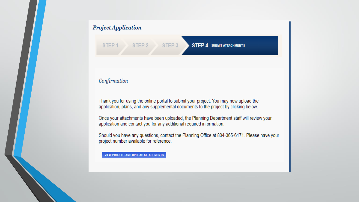#### **Project Application**

STEP<sub>2</sub> STEP<sub>3</sub>

#### **STEP 4 SUBMIT ATTACHMENTS**

#### Confirmation

STEP<sub>1</sub>

Thank you for using the online portal to submit your project. You may now upload the application, plans, and any supplemental documents to the project by clicking below.

Once your attachments have been uploaded, the Planning Department staff will review your application and contact you for any additional required information.

Should you have any questions, contact the Planning Office at 804-365-6171. Please have your project number available for reference.

**VIEW PROJECT AND UPLOAD ATTACHMENTS**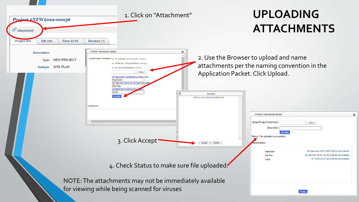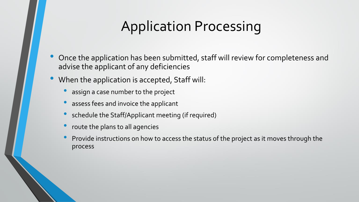## Application Processing

- Once the application has been submitted, staff will review for completeness and advise the applicant of any deficiencies
- When the application is accepted, Staff will:
	- assign a case number to the project
	- assess fees and invoice the applicant
	- schedule the Staff/Applicant meeting (if required)
	- route the plans to all agencies
	- Provide instructions on how to access the status of the project as it moves through the process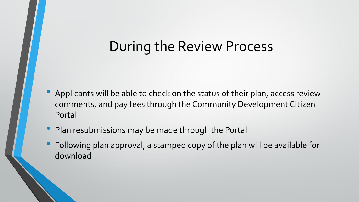### During the Review Process

- Applicants will be able to check on the status of their plan, access review comments, and pay fees through the Community Development Citizen Portal
- Plan resubmissions may be made through the Portal
- Following plan approval, a stamped copy of the plan will be available for download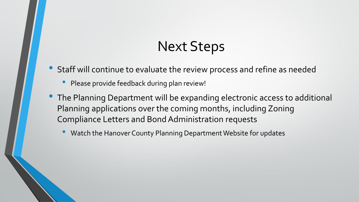## Next Steps

- Staff will continue to evaluate the review process and refine as needed
	- Please provide feedback during plan review!
- The Planning Department will be expanding electronic access to additional Planning applications over the coming months, including Zoning Compliance Letters and Bond Administration requests
	- Watch the Hanover County Planning Department Website for updates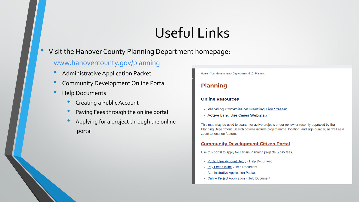# Useful Links

• Visit the Hanover County Planning Department homepage:

### [www.hanovercounty.gov/planning](http://www.hanovercounty.gov/planning)

- Administrative Application Packet
- Community Development Online Portal
- Help Documents
	- Creating a Public Account
	- Paying Fees through the online portal
	- Applying for a project through the online portal

Home > Your Government > Departments G-Z > Planning

### **Planning**

#### **Online Resources**

- Planning Commission Meeting Live Stream
- Active Land Use Cases Webmap

This map may be used to search for active projects under review or recently approved by the Planning Department. Search options include project name, location, and sign number, as well as a zoom to location feature.

#### **Community Development Citizen Portal**

Use this portal to apply for certain Planning projects & pay fees.

- Public User Account Setup Help Document
- Pay Fees Online Help Document
- Administrative Application Packet
- Online Project Application Help Document